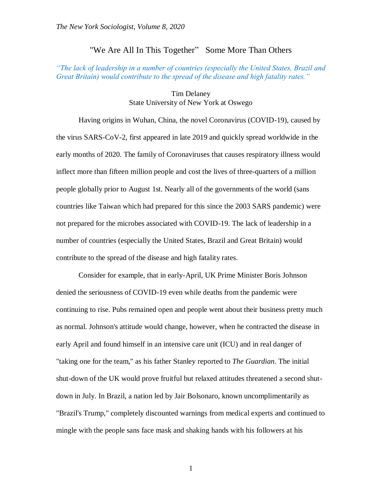## "We Are All In This Together" Some More Than Others

## *"The lack of leadership in a number of countries (especially the United States, Brazil and Great Britain) would contribute to the spread of the disease and high fatality rates."*

Tim Delaney State University of New York at Oswego

Having origins in Wuhan, China, the novel Coronavirus (COVID-19), caused by the virus SARS-CoV-2, first appeared in late 2019 and quickly spread worldwide in the early months of 2020. The family of Coronaviruses that causes respiratory illness would inflect more than fifteen million people and cost the lives of three-quarters of a million people globally prior to August 1st. Nearly all of the governments of the world (sans countries like Taiwan which had prepared for this since the 2003 SARS pandemic) were not prepared for the microbes associated with COVID-19. The lack of leadership in a number of countries (especially the United States, Brazil and Great Britain) would contribute to the spread of the disease and high fatality rates.

Consider for example, that in early-April, UK Prime Minister Boris Johnson denied the seriousness of COVID-19 even while deaths from the pandemic were continuing to rise. Pubs remained open and people went about their business pretty much as normal. Johnson's attitude would change, however, when he contracted the disease in early April and found himself in an intensive care unit (ICU) and in real danger of "taking one for the team," as his father Stanley reported to *The Guardian*. The initial shut-down of the UK would prove fruitful but relaxed attitudes threatened a second shutdown in July. In Brazil, a nation led by Jair Bolsonaro, known uncomplimentarily as "Brazil's Trump," completely discounted warnings from medical experts and continued to mingle with the people sans face mask and shaking hands with his followers at his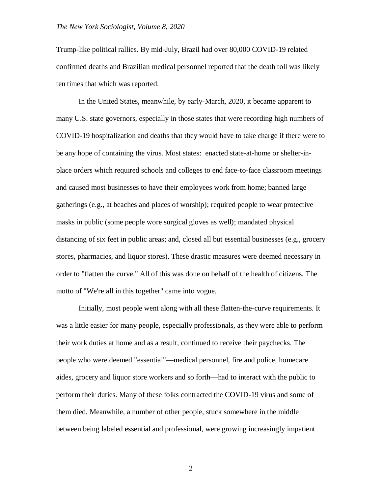Trump-like political rallies. By mid-July, Brazil had over 80,000 COVID-19 related confirmed deaths and Brazilian medical personnel reported that the death toll was likely ten times that which was reported.

In the United States, meanwhile, by early-March, 2020, it became apparent to many U.S. state governors, especially in those states that were recording high numbers of COVID-19 hospitalization and deaths that they would have to take charge if there were to be any hope of containing the virus. Most states: enacted state-at-home or shelter-inplace orders which required schools and colleges to end face-to-face classroom meetings and caused most businesses to have their employees work from home; banned large gatherings (e.g., at beaches and places of worship); required people to wear protective masks in public (some people wore surgical gloves as well); mandated physical distancing of six feet in public areas; and, closed all but essential businesses (e.g., grocery stores, pharmacies, and liquor stores). These drastic measures were deemed necessary in order to "flatten the curve." All of this was done on behalf of the health of citizens. The motto of "We're all in this together" came into vogue.

Initially, most people went along with all these flatten-the-curve requirements. It was a little easier for many people, especially professionals, as they were able to perform their work duties at home and as a result, continued to receive their paychecks. The people who were deemed "essential"—medical personnel, fire and police, homecare aides, grocery and liquor store workers and so forth—had to interact with the public to perform their duties. Many of these folks contracted the COVID-19 virus and some of them died. Meanwhile, a number of other people, stuck somewhere in the middle between being labeled essential and professional, were growing increasingly impatient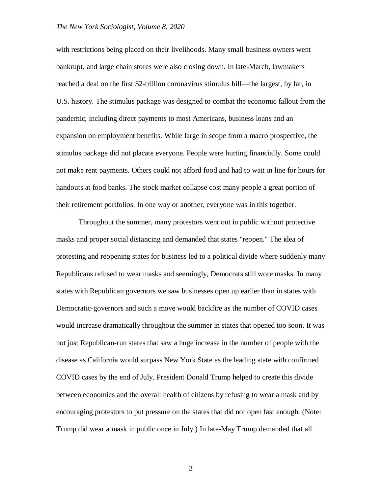## *The New York Sociologist, Volume 8, 2020*

with restrictions being placed on their livelihoods. Many small business owners went bankrupt, and large chain stores were also closing down. In late-March, lawmakers reached a deal on the first \$2-trillion coronavirus stimulus bill—the largest, by far, in U.S. history. The stimulus package was designed to combat the economic fallout from the pandemic, including direct payments to most Americans, business loans and an expansion on employment benefits. While large in scope from a macro prospective, the stimulus package did not placate everyone. People were hurting financially. Some could not make rent payments. Others could not afford food and had to wait in line for hours for handouts at food banks. The stock market collapse cost many people a great portion of their retirement portfolios. In one way or another, everyone was in this together.

Throughout the summer, many protestors went out in public without protective masks and proper social distancing and demanded that states "reopen." The idea of protesting and reopening states for business led to a political divide where suddenly many Republicans refused to wear masks and seemingly, Democrats still wore masks. In many states with Republican governors we saw businesses open up earlier than in states with Democratic-governors and such a move would backfire as the number of COVID cases would increase dramatically throughout the summer in states that opened too soon. It was not just Republican-run states that saw a huge increase in the number of people with the disease as California would surpass New York State as the leading state with confirmed COVID cases by the end of July. President Donald Trump helped to create this divide between economics and the overall health of citizens by refusing to wear a mask and by encouraging protestors to put pressure on the states that did not open fast enough. (Note: Trump did wear a mask in public once in July.) In late-May Trump demanded that all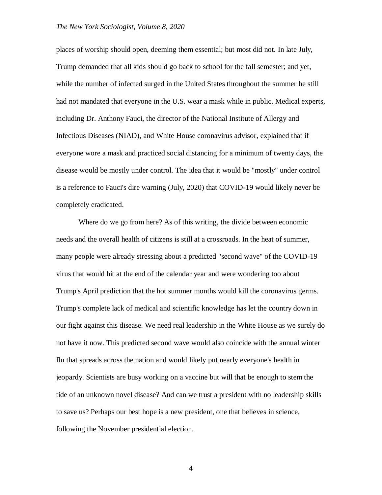## *The New York Sociologist, Volume 8, 2020*

places of worship should open, deeming them essential; but most did not. In late July, Trump demanded that all kids should go back to school for the fall semester; and yet, while the number of infected surged in the United States throughout the summer he still had not mandated that everyone in the U.S. wear a mask while in public. Medical experts, including Dr. Anthony Fauci, the director of the National Institute of Allergy and Infectious Diseases (NIAD), and White House coronavirus advisor, explained that if everyone wore a mask and practiced social distancing for a minimum of twenty days, the disease would be mostly under control. The idea that it would be "mostly" under control is a reference to Fauci's dire warning (July, 2020) that COVID-19 would likely never be completely eradicated.

Where do we go from here? As of this writing, the divide between economic needs and the overall health of citizens is still at a crossroads. In the heat of summer, many people were already stressing about a predicted "second wave" of the COVID-19 virus that would hit at the end of the calendar year and were wondering too about Trump's April prediction that the hot summer months would kill the coronavirus germs. Trump's complete lack of medical and scientific knowledge has let the country down in our fight against this disease. We need real leadership in the White House as we surely do not have it now. This predicted second wave would also coincide with the annual winter flu that spreads across the nation and would likely put nearly everyone's health in jeopardy. Scientists are busy working on a vaccine but will that be enough to stem the tide of an unknown novel disease? And can we trust a president with no leadership skills to save us? Perhaps our best hope is a new president, one that believes in science, following the November presidential election.